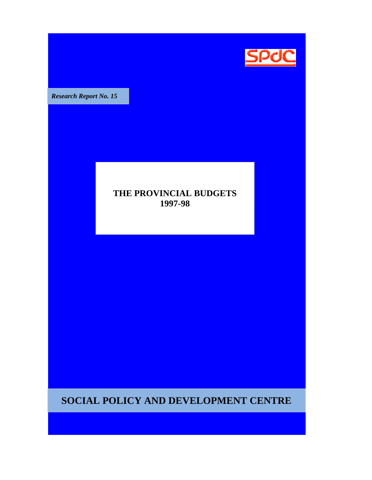

**Research Report No. 15** 

## **THE PROVINCIAL BUDGETS 1997-98**

**SOCIAL POLICY AND DEVELOPMENT CENTRE**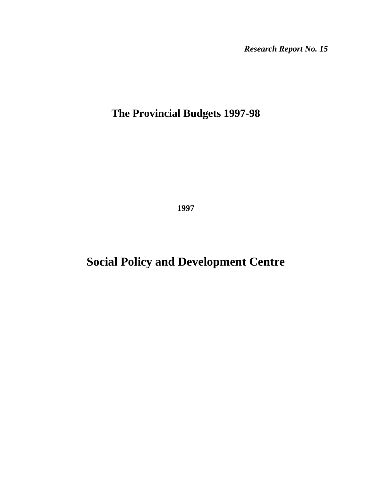*Research Report No. 15* 

# **The Provincial Budgets 1997-98**

**1997** 

# **Social Policy and Development Centre**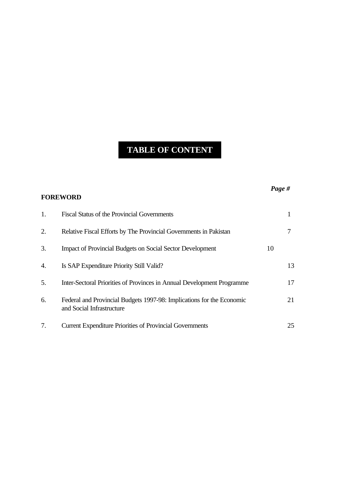# **TABLE OF CONTENT**

|    | <b>FOREWORD</b>                                                                                    | Page # |    |
|----|----------------------------------------------------------------------------------------------------|--------|----|
| 1. | <b>Fiscal Status of the Provincial Governments</b>                                                 |        | 1  |
| 2. | Relative Fiscal Efforts by The Provincial Governments in Pakistan                                  |        | 7  |
| 3. | <b>Impact of Provincial Budgets on Social Sector Development</b>                                   | 10     |    |
| 4. | Is SAP Expenditure Priority Still Valid?                                                           |        | 13 |
| 5. | Inter-Sectoral Priorities of Provinces in Annual Development Programme                             |        | 17 |
| 6. | Federal and Provincial Budgets 1997-98: Implications for the Economic<br>and Social Infrastructure |        | 21 |
| 7. | <b>Current Expenditure Priorities of Provincial Governments</b>                                    |        | 25 |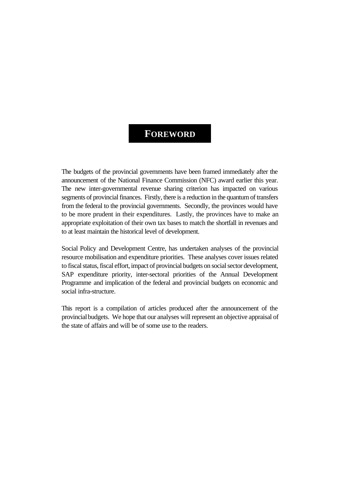## **FOREWORD**

The budgets of the provincial governments have been framed immediately after the announcement of the National Finance Commission (NFC) award earlier this year. The new inter-governmental revenue sharing criterion has impacted on various segments of provincial finances. Firstly, there is a reduction in the quantum of transfers from the federal to the provincial governments. Secondly, the provinces would have to be more prudent in their expenditures. Lastly, the provinces have to make an appropriate exploitation of their own tax bases to match the shortfall in revenues and to at least maintain the historical level of development.

Social Policy and Development Centre, has undertaken analyses of the provincial resource mobilisation and expenditure priorities. These analyses cover issues related to fiscal status, fiscal effort, impact of provincial budgets on social sector development, SAP expenditure priority, inter-sectoral priorities of the Annual Development Programme and implication of the federal and provincial budgets on economic and social infra-structure.

This report is a compilation of articles produced after the announcement of the provincial budgets. We hope that our analyses will represent an objective appraisal of the state of affairs and will be of some use to the readers.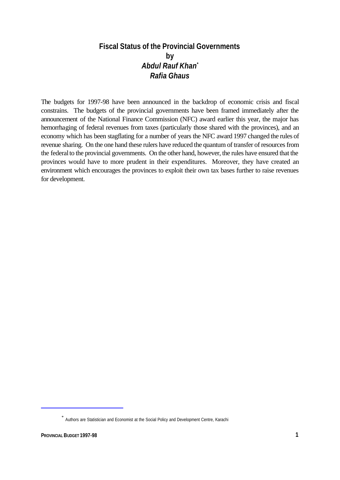## **Fiscal Status of the Provincial Governments by** *Abdul Rauf Khan\* Rafia Ghaus*

The budgets for 1997-98 have been announced in the backdrop of economic crisis and fiscal constrains. The budgets of the provincial governments have been framed immediately after the announcement of the National Finance Commission (NFC) award earlier this year, the major has hemorrhaging of federal revenues from taxes (particularly those shared with the provinces), and an economy which has been stagflating for a number of years the NFC award 1997 changed the rules of revenue sharing. On the one hand these rulers have reduced the quantum of transfer of resources from the federal to the provincial governments. On the other hand, however, the rules have ensured that the provinces would have to more prudent in their expenditures. Moreover, they have created an environment which encourages the provinces to exploit their own tax bases further to raise revenues for development.

<sup>\*</sup> Authors are Statistician and Economist at the Social Policy and Development Centre, Karachi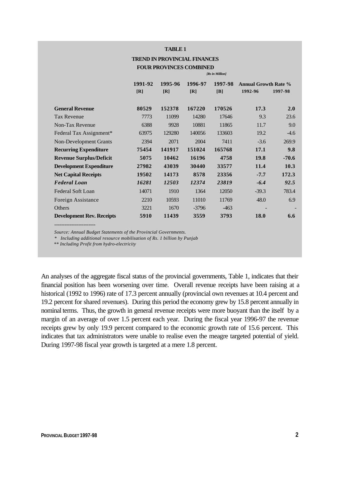#### **TABLE 1**

#### **TREND IN PROVINCIAL FINANCES FOUR PROVINCES COMBINED**

*[Rs in Million]*

|                                  | 1991-92 | 1995-96 | 1996-97 | 1997-98 | <b>Annual Growth Rate %</b> |         |
|----------------------------------|---------|---------|---------|---------|-----------------------------|---------|
|                                  | [R]     | [R]     | [R]     | [B]     | 1992-96                     | 1997-98 |
|                                  |         |         |         |         |                             |         |
| <b>General Revenue</b>           | 80529   | 152378  | 167220  | 170526  | 17.3                        | 2.0     |
| <b>Tax Revenue</b>               | 7773    | 11099   | 14280   | 17646   | 9.3                         | 23.6    |
| Non-Tax Revenue                  | 6388    | 9928    | 10881   | 11865   | 11.7                        | 9.0     |
| Federal Tax Assignment*          | 63975   | 129280  | 140056  | 133603  | 19.2                        | $-4.6$  |
| <b>Non-Development Grants</b>    | 2394    | 2071    | 2004    | 7411    | $-3.6$                      | 269.9   |
| <b>Recurring Expenditure</b>     | 75454   | 141917  | 151024  | 165768  | 17.1                        | 9.8     |
| <b>Revenue Surplus/Deficit</b>   | 5075    | 10462   | 16196   | 4758    | 19.8                        | $-70.6$ |
| <b>Development Expenditure</b>   | 27982   | 43039   | 30440   | 33577   | 11.4                        | 10.3    |
| <b>Net Capital Receipts</b>      | 19502   | 14173   | 8578    | 23356   | $-7.7$                      | 172.3   |
| <b>Federal Loan</b>              | 16281   | 12503   | 12374   | 23819   | $-6.4$                      | 92.5    |
| Federal Soft Loan                | 14071   | 1910    | 1364    | 12050   | $-39.3$                     | 783.4   |
| Foreign Assistance               | 2210    | 10593   | 11010   | 11769   | 48.0                        | 6.9     |
| Others                           | 3221    | 1670    | $-3796$ | $-463$  |                             |         |
| <b>Development Rev. Receipts</b> | 5910    | 11439   | 3559    | 3793    | 18.0                        | 6.6     |

*Source: Annual Budget Statements of the Provincial Governments.*

*\* Including additional resource mobilisation of Rs. 1 billion by Punjab*

 *\*\* Including Profit from hydro-electricity*

------------------------

An analyses of the aggregate fiscal status of the provincial governments, Table 1, indicates that their financial position has been worsening over time. Overall revenue receipts have been raising at a historical (1992 to 1996) rate of 17.3 percent annually (provincial own revenues at 10.4 percent and 19.2 percent for shared revenues). During this period the economy grew by 15.8 percent annually in nominal terms. Thus, the growth in general revenue receipts were more buoyant than the itself by a margin of an average of over 1.5 percent each year. During the fiscal year 1996-97 the revenue receipts grew by only 19.9 percent compared to the economic growth rate of 15.6 percent. This indicates that tax administrators were unable to realise even the meagre targeted potential of yield. During 1997-98 fiscal year growth is targeted at a mere 1.8 percent.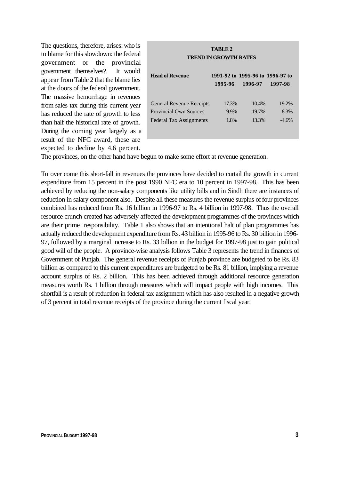The questions, therefore, arises: who is to blame for this slowdown: the federal government or the provincial government themselves?. It would appear from Table 2 that the blame lies at the doors of the federal government. The massive hemorrhage in revenues from sales tax during this current year has reduced the rate of growth to less than half the historical rate of growth. During the coming year largely as a result of the NFC award, these are expected to decline by 4.6 percent.

# **TABLE 2 TREND IN GROWTH RATES Head of Revenue 1991-92 to 1995-96 to 1996-97 to 1995-96 1996-97 1997-98** General Revenue Receipts 17.3% 10.4% 19.2% Provincial Own Sources 9.9% 19.7% 8.3% Federal Tax Assignments 1.8% 13.3% -4.6%

The provinces, on the other hand have begun to make some effort at revenue generation.

To over come this short-fall in revenues the provinces have decided to curtail the growth in current expenditure from 15 percent in the post 1990 NFC era to 10 percent in 1997-98. This has been achieved by reducing the non-salary components like utility bills and in Sindh there are instances of reduction in salary component also. Despite all these measures the revenue surplus of four provinces combined has reduced from Rs. 16 billion in 1996-97 to Rs. 4 billion in 1997-98. Thus the overall resource crunch created has adversely affected the development programmes of the provinces which are their prime responsibility. Table 1 also shows that an intentional halt of plan programmes has actually reduced the development expenditure from Rs. 43 billion in 1995-96 to Rs. 30 billion in 1996- 97, followed by a marginal increase to Rs. 33 billion in the budget for 1997-98 just to gain political good will of the people. A province-wise analysis follows Table 3 represents the trend in finances of Government of Punjab. The general revenue receipts of Punjab province are budgeted to be Rs. 83 billion as compared to this current expenditures are budgeted to be Rs. 81 billion, implying a revenue account surplus of Rs. 2 billion. This has been achieved through additional resource generation measures worth Rs. 1 billion through measures which will impact people with high incomes. This shortfall is a result of reduction in federal tax assignment which has also resulted in a negative growth of 3 percent in total revenue receipts of the province during the current fiscal year.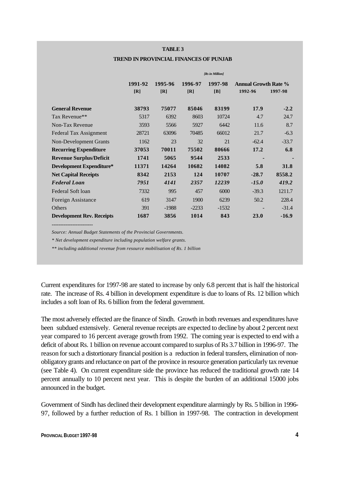#### **TABLE 3**

#### **TREND IN PROVINCIAL FINANCES OF PUNJAB**

|                                  |         |         |         | [Rs in Million] |                             |             |
|----------------------------------|---------|---------|---------|-----------------|-----------------------------|-------------|
|                                  | 1991-92 | 1995-96 | 1996-97 | 1997-98         | <b>Annual Growth Rate %</b> |             |
|                                  | [R]     | [R]     | [R]     | [B]             | 1992-96                     | 1997-98     |
|                                  |         |         |         |                 |                             |             |
| <b>General Revenue</b>           | 38793   | 75077   | 85046   | 83199           | 17.9                        | $-2.2$      |
| Tax Revenue**                    | 5317    | 6392    | 8603    | 10724           | 4.7                         | 24.7        |
| Non-Tax Revenue                  | 3593    | 5566    | 5927    | 6442            | 11.6                        | 8.7         |
| Federal Tax Assignment           | 28721   | 63096   | 70485   | 66012           | 21.7                        | $-6.3$      |
| Non-Development Grants           | 1162    | 23      | 32      | 21              | $-62.4$                     | $-33.7$     |
| <b>Recurring Expenditure</b>     | 37053   | 70011   | 75502   | 80666           | 17.2                        | 6.8         |
| <b>Revenue Surplus/Deficit</b>   | 1741    | 5065    | 9544    | 2533            |                             |             |
| <b>Development Expenditure*</b>  | 11371   | 14264   | 10682   | 14082           | 5.8                         | <b>31.8</b> |
| <b>Net Capital Receipts</b>      | 8342    | 2153    | 124     | 10707           | $-28.7$                     | 8558.2      |
| <b>Federal Loan</b>              | 7951    | 4141    | 2357    | 12239           | $-15.0$                     | 419.2       |
| Federal Soft loan                | 7332    | 995     | 457     | 6000            | $-39.3$                     | 1211.7      |
| Foreign Assistance               | 619     | 3147    | 1900    | 6239            | 50.2                        | 228.4       |
| Others                           | 391     | $-1988$ | $-2233$ | $-1532$         |                             | $-31.4$     |
| <b>Development Rev. Receipts</b> | 1687    | 3856    | 1014    | 843             | 23.0                        | $-16.9$     |

------------------------

*Source: Annual Budget Statements of the Provincial Governments.*

*\* Net development expenditure including population welfare grants.*

*\*\* including additional revenue from resource mobilisation of Rs. 1 billion*

Current expenditures for 1997-98 are stated to increase by only 6.8 percent that is half the historical rate. The increase of Rs. 4 billion in development expenditure is due to loans of Rs. 12 billion which includes a soft loan of Rs. 6 billion from the federal government.

The most adversely effected are the finance of Sindh. Growth in both revenues and expenditures have been subdued extensively. General revenue receipts are expected to decline by about 2 percent next year compared to 16 percent average growth from 1992. The coming year is expected to end with a deficit of about Rs. 1 billion on revenue account compared to surplus of Rs 3.7 billion in 1996-97. The reason for such a distortionary financial position is a reduction in federal transfers, elimination of nonobligatory grants and reluctance on part of the province in resource generation particularly tax revenue (see Table 4). On current expenditure side the province has reduced the traditional growth rate 14 percent annually to 10 percent next year. This is despite the burden of an additional 15000 jobs announced in the budget.

Government of Sindh has declined their development expenditure alarmingly by Rs. 5 billion in 1996- 97, followed by a further reduction of Rs. 1 billion in 1997-98. The contraction in development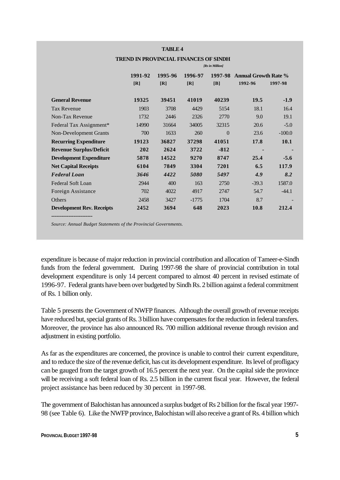#### **TABLE 4**

|                                  | [Rs in Million] |         |         |          |                             |             |
|----------------------------------|-----------------|---------|---------|----------|-----------------------------|-------------|
|                                  | 1991-92         | 1995-96 | 1996-97 | 1997-98  | <b>Annual Growth Rate %</b> |             |
|                                  | [R]             | [R]     | [R]     | [B]      | 1992-96                     | 1997-98     |
| <b>General Revenue</b>           | 19325           | 39451   | 41019   | 40239    | <b>19.5</b>                 | $-1.9$      |
| <b>Tax Revenue</b>               | 1903            | 3708    | 4429    | 5154     | 18.1                        | 16.4        |
| Non-Tax Revenue                  | 1732            | 2446    | 2326    | 2770     | 9.0                         | 19.1        |
| Federal Tax Assignment*          | 14990           | 31664   | 34005   | 32315    | 20.6                        | $-5.0$      |
| <b>Non-Development Grants</b>    | 700             | 1633    | 260     | $\Omega$ | 23.6                        | $-100.0$    |
| <b>Recurring Expenditure</b>     | 19123           | 36827   | 37298   | 41051    | 17.8                        | <b>10.1</b> |
| <b>Revenue Surplus/Deficit</b>   | 202             | 2624    | 3722    | $-812$   |                             | ٠           |
| <b>Development Expenditure</b>   | 5878            | 14522   | 9270    | 8747     | 25.4                        | $-5.6$      |
| <b>Net Capital Receipts</b>      | 6104            | 7849    | 3304    | 7201     | 6.5                         | 117.9       |
| <b>Federal Loan</b>              | 3646            | 4422    | 5080    | 5497     | 4.9                         | 8.2         |
| Federal Soft Loan                | 2944            | 400     | 163     | 2750     | $-39.3$                     | 1587.0      |
| Foreign Assistance               | 702             | 4022    | 4917    | 2747     | 54.7                        | $-44.1$     |
| Others                           | 2458            | 3427    | $-1775$ | 1704     | 8.7                         |             |
| <b>Development Rev. Receipts</b> | 2452            | 3694    | 648     | 2023     | 10.8                        | 212.4       |
|                                  |                 |         |         |          |                             |             |

#### **TREND IN PROVINCIAL FINANCES OF SINDH**

*Source: Annual Budget Statements of the Provincial Governments.*

expenditure is because of major reduction in provincial contribution and allocation of Tameer-e-Sindh funds from the federal government. During 1997-98 the share of provincial contribution in total development expenditure is only 14 percent compared to almost 40 percent in revised estimate of 1996-97. Federal grants have been over budgeted by Sindh Rs. 2 billion against a federal commitment of Rs. 1 billion only.

Table 5 presents the Government of NWFP finances. Although the overall growth of revenue receipts have reduced but, special grants of Rs. 3 billion have compensates for the reduction in federal transfers. Moreover, the province has also announced Rs. 700 million additional revenue through revision and adjustment in existing portfolio.

As far as the expenditures are concerned, the province is unable to control their current expenditure, and to reduce the size of the revenue deficit, has cut its development expenditure. Its level of profligacy can be gauged from the target growth of 16.5 percent the next year. On the capital side the province will be receiving a soft federal loan of Rs. 2.5 billion in the current fiscal year. However, the federal project assistance has been reduced by 30 percent in 1997-98.

The government of Balochistan has announced a surplus budget of Rs 2 billion for the fiscal year 1997- 98 (see Table 6). Like the NWFP province, Balochistan will also receive a grant of Rs. 4 billion which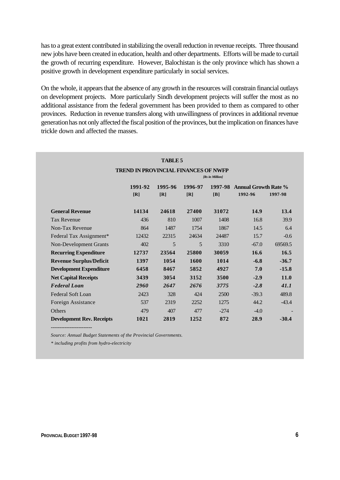has to a great extent contributed in stabilizing the overall reduction in revenue receipts. Three thousand new jobs have been created in education, health and other departments. Efforts will be made to curtail the growth of recurring expenditure. However, Balochistan is the only province which has shown a positive growth in development expenditure particularly in social services.

On the whole, it appears that the absence of any growth in the resources will constrain financial outlays on development projects. More particularly Sindh development projects will suffer the most as no additional assistance from the federal government has been provided to them as compared to other provinces. Reduction in revenue transfers along with unwillingness of provinces in additional revenue generation has not only affected the fiscal position of the provinces, but the implication on finances have trickle down and affected the masses.

|                                  | <b>TREND IN PROVINCIAL FINANCES OF NWFP</b> |                |                |                |                                        |         |
|----------------------------------|---------------------------------------------|----------------|----------------|----------------|----------------------------------------|---------|
|                                  | 1991-92<br>[R]                              | 1995-96<br>[R] | 1996-97<br>[R] | 1997-98<br>[B] | <b>Annual Growth Rate %</b><br>1992-96 | 1997-98 |
| <b>General Revenue</b>           | 14134                                       | 24618          | 27400          | 31072          | 14.9                                   | 13.4    |
| <b>Tax Revenue</b>               | 436                                         | 810            | 1007           | 1408           | 16.8                                   | 39.9    |
| Non-Tax Revenue                  | 864                                         | 1487           | 1754           | 1867           | 14.5                                   | 6.4     |
| Federal Tax Assignment*          | 12432                                       | 22315          | 24634          | 24487          | 15.7                                   | $-0.6$  |
| <b>Non-Development Grants</b>    | 402                                         | 5              | 5              | 3310           | $-67.0$                                | 69569.5 |
| <b>Recurring Expenditure</b>     | 12737                                       | 23564          | 25800          | 30059          | 16.6                                   | 16.5    |
| <b>Revenue Surplus/Deficit</b>   | 1397                                        | 1054           | <b>1600</b>    | 1014           | $-6.8$                                 | $-36.7$ |
| <b>Development Expenditure</b>   | 6458                                        | 8467           | 5852           | 4927           | 7.0                                    | $-15.8$ |
| <b>Net Capital Receipts</b>      | 3439                                        | 3054           | 3152           | 3500           | $-2.9$                                 | 11.0    |
| <b>Federal Loan</b>              | 2960                                        | 2647           | 2676           | 3775           | $-2.8$                                 | 41.1    |
| Federal Soft Loan                | 2423                                        | 328            | 424            | 2500           | $-39.3$                                | 489.8   |
| Foreign Assistance               | 537                                         | 2319           | 2252           | 1275           | 44.2                                   | $-43.4$ |
| <b>Others</b>                    | 479                                         | 407            | 477            | $-274$         | $-4.0$                                 |         |
| <b>Development Rev. Receipts</b> | 1021                                        | 2819           | 1252           | 872            | 28.9                                   | $-30.4$ |

*Source: Annual Budget Statements of the Provincial Governments.*

*\* including profits from hydro-electricity*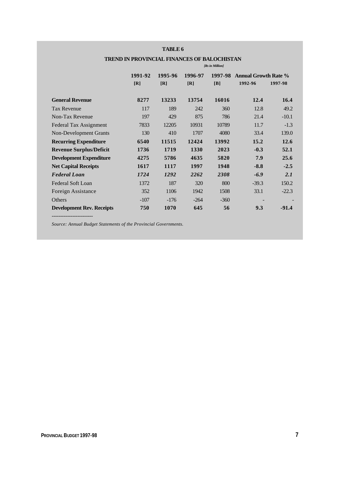#### **TABLE 6**

|                                  | [Rs in Million] |         |         |         |                             |         |
|----------------------------------|-----------------|---------|---------|---------|-----------------------------|---------|
|                                  | 1991-92         | 1995-96 | 1996-97 | 1997-98 | <b>Annual Growth Rate %</b> |         |
|                                  | [R]             | [R]     | [R]     | [B]     | 1992-96                     | 1997-98 |
|                                  |                 |         |         |         |                             |         |
| <b>General Revenue</b>           | 8277            | 13233   | 13754   | 16016   | 12.4                        | 16.4    |
| <b>Tax Revenue</b>               | 117             | 189     | 242     | 360     | 12.8                        | 49.2    |
| Non-Tax Revenue                  | 197             | 429     | 875     | 786     | 21.4                        | $-10.1$ |
| Federal Tax Assignment           | 7833            | 12205   | 10931   | 10789   | 11.7                        | $-1.3$  |
| Non-Development Grants           | 130             | 410     | 1707    | 4080    | 33.4                        | 139.0   |
| <b>Recurring Expenditure</b>     | 6540            | 11515   | 12424   | 13992   | 15.2                        | 12.6    |
| <b>Revenue Surplus/Deficit</b>   | 1736            | 1719    | 1330    | 2023    | $-0.3$                      | 52.1    |
| <b>Development Expenditure</b>   | 4275            | 5786    | 4635    | 5820    | 7.9                         | 25.6    |
| <b>Net Capital Receipts</b>      | 1617            | 1117    | 1997    | 1948    | $-8.8$                      | $-2.5$  |
| <b>Federal Loan</b>              | 1724            | 1292    | 2262    | 2308    | $-6.9$                      | 2.1     |
| Federal Soft Loan                | 1372            | 187     | 320     | 800     | $-39.3$                     | 150.2   |
| Foreign Assistance               | 352             | 1106    | 1942    | 1508    | 33.1                        | $-22.3$ |
| Others                           | $-107$          | $-176$  | $-264$  | $-360$  |                             |         |
| <b>Development Rev. Receipts</b> | 750             | 1070    | 645     | 56      | 9.3                         | $-91.4$ |
|                                  |                 |         |         |         |                             |         |

## **TREND IN PROVINCIAL FINANCES OF BALOCHISTAN**

*Source: Annual Budget Statements of the Provincial Governments.*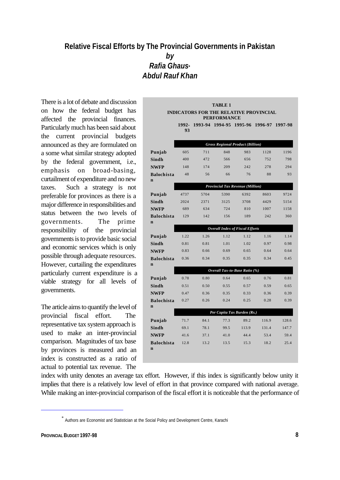## **Relative Fiscal Efforts by The Provincial Governments in Pakistan** *by Rafia Ghaus***\*** *Abdul Rauf Khan*

There is a lot of debate and discussion on how the federal budget has affected the provincial finances. Particularly much has been said about the current provincial budgets announced as they are formulated on a some what similar strategy adopted by the federal government, i.e., emphasis on broad-basing, curtailment of expenditure and no new taxes. Such a strategy is not preferable for provinces as there is a major difference in responsibilities and status between the two levels of governments. The prime responsibility of the provincial governments is to provide basic social and economic services which is only possible through adequate resources. However, curtailing the expenditures particularly current expenditure is a viable strategy for all levels of governments.

The article aims to quantify the level of provincial fiscal effort. The representative tax system approach is used to make an inter-provincial comparison. Magnitudes of tax base by provinces is measured and an index is constructed as a ratio of actual to potential tax revenue. The

|                                               |             |         | <b>TABLE 1</b>     |                                         |         |         |  |  |
|-----------------------------------------------|-------------|---------|--------------------|-----------------------------------------|---------|---------|--|--|
| <b>INDICATORS FOR THE RELATIVE PROVINCIAL</b> |             |         |                    |                                         |         |         |  |  |
|                                               |             |         | <b>PERFORMANCE</b> |                                         |         |         |  |  |
|                                               | 1992-<br>93 | 1993-94 |                    | 1994-95 1995-96                         | 1996-97 | 1997-98 |  |  |
|                                               |             |         |                    |                                         |         |         |  |  |
|                                               |             |         |                    | <b>Gross Regional Product (Billion)</b> |         |         |  |  |
| Punjab                                        | 605         | 711     | 848                | 983                                     | 1128    | 1196    |  |  |
| <b>Sindh</b>                                  | 400         | 472     | 566                | 656                                     | 752     | 798     |  |  |
| <b>NWFP</b>                                   | 148         | 174     | 209                | 242                                     | 278     | 294     |  |  |
| <b>Balochista</b>                             | 48          | 56      | 66                 | 76                                      | 88      | 93      |  |  |
| $\mathbf n$                                   |             |         |                    |                                         |         |         |  |  |
|                                               |             |         |                    | <b>Provincial Tax Revenue (Million)</b> |         |         |  |  |
| Punjab                                        | 4737        | 5704    | 5390               | 6392                                    | 8603    | 9724    |  |  |
| Sindh                                         | 2024        | 2371    | 3125               | 3708                                    | 4429    | 5154    |  |  |
| <b>NWFP</b>                                   | 689         | 634     | 724                | 810                                     | 1007    | 1158    |  |  |
| <b>Balochista</b><br>$\mathbf n$              | 129         | 142     | 156                | 189                                     | 242     | 360     |  |  |
|                                               |             |         |                    | <b>Overall Index of Fiscal Efforts</b>  |         |         |  |  |
| Punjab                                        | 1.22        | 1.26    | 1.12               | 1.12                                    | 1.16    | 1.14    |  |  |
| Sindh                                         | 0.81        | 0.81    | 1.01               | 1.02                                    | 0.97    | 0.98    |  |  |
| <b>NWFP</b>                                   | 0.83        | 0.66    | 0.69               | 0.65                                    | 0.64    | 0.64    |  |  |
| <b>Balochista</b>                             | 0.36        | 0.34    | 0.35               | 0.35                                    | 0.34    | 0.45    |  |  |
| $\mathbf n$                                   |             |         |                    |                                         |         |         |  |  |
|                                               |             |         |                    | Overall Tax-to-Base Ratio (%)           |         |         |  |  |
| Punjab                                        | 0.78        | 0.80    | 0.64               | 0.65                                    | 0.76    | 0.81    |  |  |
| Sindh                                         | 0.51        | 0.50    | 0.55               | 0.57                                    | 0.59    | 0.65    |  |  |
| <b>NWFP</b>                                   | 0.47        | 0.36    | 0.35               | 0.33                                    | 0.36    | 0.39    |  |  |
| <b>Balochista</b>                             | 0.27        | 0.26    | 0.24               | 0.25                                    | 0.28    | 0.39    |  |  |
| $\mathbf n$                                   |             |         |                    | Per Capita Tax Burden (Rs.)             |         |         |  |  |
| Punjab                                        | 71.7        | 84.1    | 77.3               | 89.2                                    | 116.9   | 128.6   |  |  |
| Sindh                                         | 69.1        | 78.1    | 99.5               | 113.9                                   | 131.4   | 147.7   |  |  |
| <b>NWFP</b>                                   | 41.6        | 37.1    | 41.0               | 44.4                                    | 53.4    | 59.4    |  |  |
| <b>Balochista</b>                             | 12.8        | 13.2    | 13.5               | 15.3                                    | 18.2    | 25.4    |  |  |
| $\mathbf n$                                   |             |         |                    |                                         |         |         |  |  |
|                                               |             |         |                    |                                         |         |         |  |  |

index with unity denotes an average tax effort. However, if this index is significantly below unity it implies that there is a relatively low level of effort in that province compared with national average. While making an inter-provincial comparison of the fiscal effort it is noticeable that the performance of

<sup>\*</sup> Authors are Economist and Statistician at the Social Policy and Development Centre, Karachi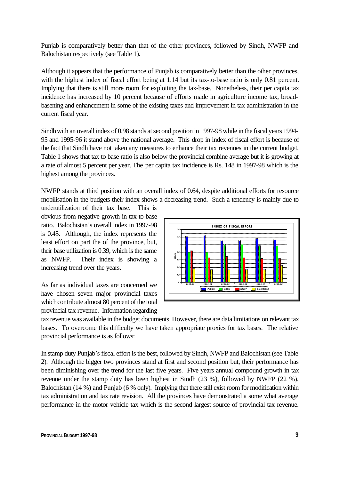Punjab is comparatively better than that of the other provinces, followed by Sindh, NWFP and Balochistan respectively (see Table 1).

Although it appears that the performance of Punjab is comparatively better than the other provinces, with the highest index of fiscal effort being at 1.14 but its tax-to-base ratio is only 0.81 percent. Implying that there is still more room for exploiting the tax-base. Nonetheless, their per capita tax incidence has increased by 10 percent because of efforts made in agriculture income tax, broadbasening and enhancement in some of the existing taxes and improvement in tax administration in the current fiscal year.

Sindh with an overall index of 0.98 stands at second position in 1997-98 while in the fiscal years 1994- 95 and 1995-96 it stand above the national average. This drop in index of fiscal effort is because of the fact that Sindh have not taken any measures to enhance their tax revenues in the current budget. Table 1 shows that tax to base ratio is also below the provincial combine average but it is growing at a rate of almost 5 percent per year. The per capita tax incidence is Rs. 148 in 1997-98 which is the highest among the provinces.

NWFP stands at third position with an overall index of 0.64, despite additional efforts for resource mobilisation in the budgets their index shows a decreasing trend. Such a tendency is mainly due to

underutilization of their tax base. This is obvious from negative growth in tax-to-base ratio. Balochistan's overall index in 1997-98 is 0.45. Although, the index represents the least effort on part the of the province, but, their base utilization is 0.39, which is the same as NWFP. Their index is showing a increasing trend over the years.

As far as individual taxes are concerned we have chosen seven major provincial taxes which contribute almost 80 percent of the total provincial tax revenue. Information regarding



tax revenue was available in the budget documents. However, there are data limitations on relevant tax bases. To overcome this difficulty we have taken appropriate proxies for tax bases. The relative provincial performance is as follows:

In stamp duty Punjab's fiscal effort is the best, followed by Sindh, NWFP and Balochistan (see Table 2). Although the bigger two provinces stand at first and second position but, their performance has been diminishing over the trend for the last five years. Five years annual compound growth in tax revenue under the stamp duty has been highest in Sindh (23 %), followed by NWFP (22 %), Balochistan (14 %) and Punjab (6 % only). Implying that there still exist room for modification within tax administration and tax rate revision. All the provinces have demonstrated a some what average performance in the motor vehicle tax which is the second largest source of provincial tax revenue.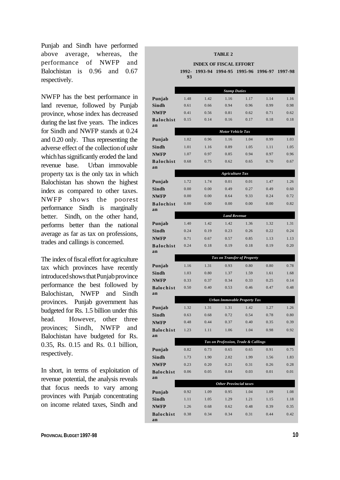Punjab and Sindh have performed above average, whereas, the performance of NWFP and Balochistan is 0.96 and 0.67 respectively.

NWFP has the best performance in land revenue, followed by Punjab province, whose index has decreased during the last five years. The indices for Sindh and NWFP stands at 0.24 and 0.20 only. Thus representing the adverse effect of the collection of ushr which has significantly eroded the land revenue base. Urban immovable property tax is the only tax in which Balochistan has shown the highest index as compared to other taxes. NWFP shows the poorest performance Sindh is marginally better. Sindh, on the other hand, performs better than the national average as far as tax on professions, trades and callings is concerned.

The index of fiscal effort for agriculture tax which provinces have recently introduced shows that Punjab province performance the best followed by Balochistan, NWFP and Sindh provinces. Punjab government has budgeted for Rs. 1.5 billion under this head. However, other three provinces; Sindh, NWFP and Balochistan have budgeted for Rs. 0.35, Rs. 0.15 and Rs. 0.1 billion, respectively.

In short, in terms of exploitation of revenue potential, the analysis reveals that focus needs to vary among provinces with Punjab concentrating on income related taxes, Sindh and

|                        |              |                               | <b>TABLE 2</b> |                                     |              |              |
|------------------------|--------------|-------------------------------|----------------|-------------------------------------|--------------|--------------|
|                        |              | <b>INDEX OF FISCAL EFFORT</b> |                |                                     |              |              |
|                        | 1992-<br>93  | 1993-94                       | 1994-95        | 1995-96                             | 1996-97      | 1997-98      |
|                        |              |                               |                |                                     |              |              |
|                        |              |                               |                | <b>Stamp Duties</b>                 |              |              |
| Punjab                 | 1.48         | 1.42                          | 1.16           | 1.17                                | 1.14         | 1.16         |
| Sindh                  | 0.61         | 0.66                          | 0.94           | 0.96                                | 0.99         | 0.98         |
| <b>NWFP</b>            | 0.41         | 0.56                          | 0.81           | 0.62                                | 0.71         | 0.62         |
| <b>Balochist</b>       | 0.15         | 0.14                          | 0.16           | 0.17                                | 0.18         | 0.18         |
| an                     |              |                               |                | <b>Motor Vehicle Tax</b>            |              |              |
| Punjab                 | 1.02         | 0.96                          | 1.16           | 1.04                                | 0.99         | 1.03         |
| Sindh                  | 1.01         | 1.16                          | 0.89           | 1.05                                | 1.11         | 1.05         |
| <b>NWFP</b>            | 1.07         | 0.97                          | 0.85           | 0.94                                | 0.97         | 0.96         |
| <b>Balochist</b>       | 0.68         | 0.75                          | 0.62           | 0.65                                | 0.70         | 0.67         |
| an                     |              |                               |                |                                     |              |              |
|                        |              |                               |                | <b>Agriculture Tax</b>              |              |              |
| Punjab                 | 1.72         | 1.74                          | 0.01           | 0.01                                | 1.47         | 1.26         |
| Sindh                  | 0.00         | 0.00                          | 0.49           | 0.27                                | 0.49         | 0.60         |
| <b>NWFP</b>            | 0.00         | 0.00                          | 8.64           | 9.33                                | 0.24         | 0.72         |
| <b>Balochist</b><br>an | 0.00         | 0.00                          | 0.00           | 0.00                                | 0.00         | 0.82         |
|                        |              |                               |                | <b>Land Revenue</b>                 |              |              |
| Punjab                 | 1.40         | 1.42                          | 1.42           | 1.36                                | 1.32         | 1.31         |
| Sindh                  | 0.24         | 0.19                          | 0.23           | 0.26                                | 0.22         | 0.24         |
| <b>NWFP</b>            | 0.71         | 0.67                          | 0.57           | 0.85                                | 1.13         | 1.13         |
| <b>Balochist</b>       | 0.24         | 0.18                          | 0.19           | 0.18                                | 0.19         | 0.20         |
| an                     |              |                               |                |                                     |              |              |
|                        |              |                               |                | Tax on Transfer of Property         |              |              |
| Punjab                 | 1.16         | 1.31                          | 0.93           | 0.80                                | 0.80<br>1.61 | 0.78         |
| Sindh<br><b>NWFP</b>   | 1.03         | 0.80<br>0.37                  | 1.37<br>0.34   | 1.59<br>0.33                        | 0.25         | 1.68<br>0.14 |
| <b>Balochist</b>       | 0.33<br>0.50 | 0.40                          | 0.53           | 0.46                                | 0.47         | 0.48         |
| an                     |              |                               |                |                                     |              |              |
|                        |              |                               |                | Urban Immovable Property Tax        |              |              |
| Punjab                 | 1.32         | 1.31                          | 1.31           | 1.42                                | 1.27         | 1.26         |
| Sindh                  | 0.63         | 0.68                          | 0.72           | 0.54                                | 0.78         | 0.80         |
| <b>NWFP</b>            | 0.48         | 0.44                          | 0.37           | 0.40                                | 0.35         | 0.39         |
| <b>Balochist</b>       | 1.23         | 1.11                          | 1.06           | 1.04                                | 0.98         | 0.92         |
| an                     |              |                               |                | Tax on Profession, Trade & Callings |              |              |
| Punjab                 | 0.82         | 0.73                          | 0.65           | 0.65                                | 0.91         | 0.75         |
| Sindh                  | 1.73         | 1.90                          | 2.02           | 1.99                                | 1.56         | 1.83         |
| <b>NWFP</b>            | 0.23         | 0.20                          | 0.21           | 0.31                                | 0.26         | 0.28         |
| <b>Balochist</b>       | 0.06         | 0.05                          | 0.04           | 0.03                                | 0.01         | 0.01         |
| an                     |              |                               |                |                                     |              |              |
|                        |              |                               |                | <b>Other Provincial taxes</b>       |              |              |
| Punjab                 | 0.92         | 1.09                          | 0.95           | 1.04                                | 1.09         | 1.08         |
| Sindh                  | 1.11         | 1.05                          | 1.29           | 1.21                                | 1.15         | 1.18         |
| <b>NWFP</b>            | 1.26         | 0.68                          | 0.62           | 0.48                                | 0.39         | 0.35         |
| <b>Balochist</b><br>an | 0.38         | 0.34                          | 0.34           | 0.31                                | 0.44         | 0.42         |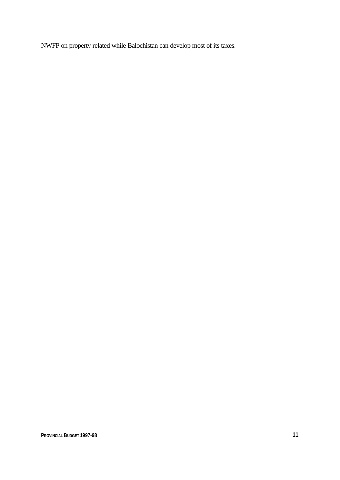NWFP on property related while Balochistan can develop most of its taxes.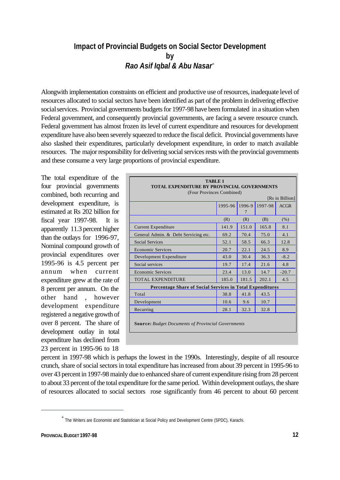## **Impact of Provincial Budgets on Social Sector Development by** *Rao Asif Iqbal & Abu Nasar*\*

Alongwith implementation constraints on efficient and productive use of resources, inadequate level of resources allocated to social sectors have been identified as part of the problem in delivering effective social services. Provincial governments budgets for 1997-98 have been formulated in a situation when Federal government, and consequently provincial governments, are facing a severe resource crunch. Federal government has almost frozen its level of current expenditure and resources for development expenditure have also been severely squeezed to reduce the fiscal deficit. Provincial governments have also slashed their expenditures, particularly development expenditure, in order to match available resources. The major responsibility for delivering social services rests with the provincial governments and these consume a very large proportions of provincial expenditure.

The total expenditure of the four provincial governments combined, both recurring and development expenditure, is estimated at Rs 202 billion for fiscal year 1997-98. It is apparently 11.3 percent higher than the outlays for 1996-97, Nominal compound growth of provincial expenditures over 1995-96 is 4.5 percent per annum when current expenditure grew at the rate of 8 percent per annum. On the other hand , however development expenditure registered a negative growth of over 8 percent. The share of development outlay in total expenditure has declined from 23 percent in 1995-96 to 18

| <b>TABLE 1</b><br><b>TOTAL EXPENDITURE BY PROVINCIAL GOVERNMENTS</b><br>(Four Provinces Combined) |         |             |         |                 |  |
|---------------------------------------------------------------------------------------------------|---------|-------------|---------|-----------------|--|
|                                                                                                   |         |             |         | [Rs in Billion] |  |
|                                                                                                   | 1995-96 | 1996-9<br>7 | 1997-98 | ACGR            |  |
|                                                                                                   | (R)     | (R)         | (B)     | (% )            |  |
| <b>Current Expenditure</b>                                                                        | 141.9   | 151.0       | 165.8   | 8.1             |  |
| General Admin. & Debt Servicing etc.                                                              | 69.2    | 70.4        | 75.0    | 4.1             |  |
| <b>Social Services</b>                                                                            | 52.1    | 58.5        | 66.3    | 12.8            |  |
| <b>Economic Services</b>                                                                          | 20.7    | 22.1        | 24.5    | 8.9             |  |
| Development Expenditure                                                                           | 43.0    | 30.4        | 36.3    | $-8.2$          |  |
| Social services                                                                                   | 19.7    | 17.4        | 21.6    | 4.8             |  |
| <b>Economic Services</b>                                                                          | 23.4    | 13.0        | 14.7    | $-20.7$         |  |
| <b>TOTAL EXPENDITURE</b>                                                                          | 185.0   | 181.5       | 202.1   | 4.5             |  |
| <b>Percentage Share of Social Services in Total Expenditures</b>                                  |         |             |         |                 |  |
| Total                                                                                             | 38.8    | 41.8        | 43.5    |                 |  |
| Development                                                                                       | 10.6    | 9.6         | 10.7    |                 |  |
| Recurring                                                                                         | 28.1    | 32.3        | 32.8    |                 |  |
| <b>Source:</b> Budget Documents of Provincial Governments                                         |         |             |         |                 |  |

percent in 1997-98 which is perhaps the lowest in the 1990s. Interestingly, despite of all resource crunch, share of social sectors in total expenditure has increased from about 39 percent in 1995-96 to over 43 percent in 1997-98 mainly due to enhanced share of current expenditure rising from 28 percent to about 33 percent of the total expenditure for the same period. Within development outlays, the share of resources allocated to social sectors rose significantly from 46 percent to about 60 percent

<sup>\*</sup> The Writers are Economist and Statistician at Social Policy and Development Centre (SPDC), Karachi.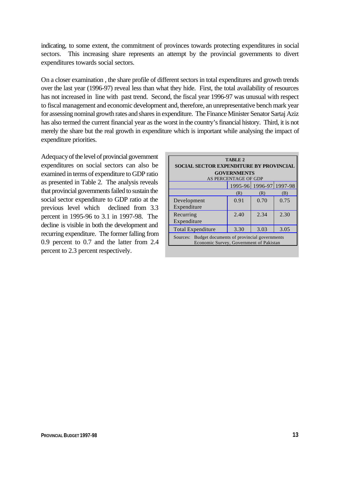indicating, to some extent, the commitment of provinces towards protecting expenditures in social sectors. This increasing share represents an attempt by the provincial governments to divert expenditures towards social sectors.

On a closer examination , the share profile of different sectors in total expenditures and growth trends over the last year (1996-97) reveal less than what they hide. First, the total availability of resources has not increased in line with past trend. Second, the fiscal year 1996-97 was unusual with respect to fiscal management and economic development and, therefore, an unrepresentative bench mark year for assessing nominal growth rates and shares in expenditure. The Finance Minister Senator Sartaj Aziz has also termed the current financial year as the worst in the country's financial history. Third, it is not merely the share but the real growth in expenditure which is important while analysing the impact of expenditure priorities.

Adequacy of the level of provincial government expenditures on social sectors can also be examined in terms of expenditure to GDP ratio as presented in Table 2. The analysis reveals that provincial governments failed to sustain the social sector expenditure to GDP ratio at the previous level which declined from 3.3 percent in 1995-96 to 3.1 in 1997-98. The decline is visible in both the development and recurring expenditure. The former falling from 0.9 percent to 0.7 and the latter from 2.4 percent to 2.3 percent respectively.

| TABLE 2<br><b>SOCIAL SECTOR EXPENDITURE BY PROVINCIAL</b><br><b>GOVERNMENTS</b>                   |      |      |      |  |  |  |
|---------------------------------------------------------------------------------------------------|------|------|------|--|--|--|
| AS PERCENTAGE OF GDP<br>1995-96 1996-97 1997-98                                                   |      |      |      |  |  |  |
|                                                                                                   | (R)  | (R)  | (B)  |  |  |  |
| Development<br>Expenditure                                                                        | 0.91 | 0.70 | 0.75 |  |  |  |
| Recurring<br>Expenditure                                                                          | 2.40 | 2.34 | 2.30 |  |  |  |
| <b>Total Expenditure</b>                                                                          | 3.30 | 3.03 | 3.05 |  |  |  |
| Budget documents of provincial governments<br>Sources:<br>Economic Survey, Government of Pakistan |      |      |      |  |  |  |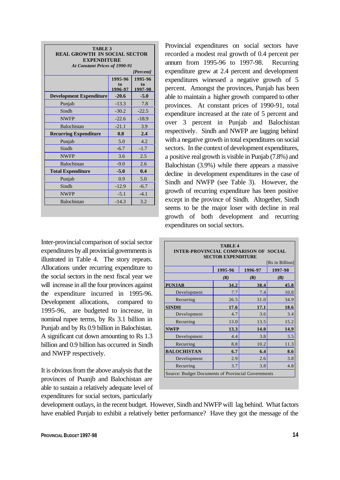| <b>TABLE 3</b><br><b>REAL GROWTH IN SOCIAL SECTOR</b><br><b>EXPENDITURE</b><br><b>At Constant Prices of 1990-91</b><br>[Percent] |                          |                          |  |  |  |
|----------------------------------------------------------------------------------------------------------------------------------|--------------------------|--------------------------|--|--|--|
|                                                                                                                                  | 1995-96<br>to<br>1996-97 | 1995-96<br>to<br>1997-98 |  |  |  |
| <b>Development Expenditure</b>                                                                                                   | $-20.6$                  | $-5.0$                   |  |  |  |
| Punjab                                                                                                                           | $-13.3$                  | 7.8                      |  |  |  |
| Sindh                                                                                                                            | $-30.2$                  | $-22.5$                  |  |  |  |
| <b>NWFP</b>                                                                                                                      | $-22.6$                  | $-18.9$                  |  |  |  |
| Balochistan                                                                                                                      | $-21.1$                  | 3.9                      |  |  |  |
| <b>Recurring Expenditure</b>                                                                                                     | 0.8                      | 2.4                      |  |  |  |
| Punjab                                                                                                                           | 5.0                      | 4.2                      |  |  |  |
| Sindh                                                                                                                            | $-6.7$                   | $-1.7$                   |  |  |  |
| <b>NWFP</b>                                                                                                                      | 3.6                      | 2.5                      |  |  |  |
| <b>Balochistan</b>                                                                                                               | $-9.0$                   | 2.6                      |  |  |  |
| <b>Total Expenditure</b>                                                                                                         | $-5.0$                   | 0.4                      |  |  |  |
| Punjab                                                                                                                           | 0.9                      | 5.0                      |  |  |  |
| Sindh                                                                                                                            | $-12.9$                  | $-6.7$                   |  |  |  |
| <b>NWFP</b>                                                                                                                      | $-5.1$                   | $-4.1$                   |  |  |  |
| <b>Balochistan</b>                                                                                                               | $-14.3$                  | 3.2                      |  |  |  |

Inter-provincial comparison of social sector expenditures by all provincial governments is illustrated in Table 4. The story repeats. Allocations under recurring expenditure to the social sectors in the next fiscal year we will increase in all the four provinces against the expenditure incurred in 1995-96. Development allocations, compared to 1995-96, are budgeted to increase, in nominal rupee terms, by Rs 3.1 billion in Punjab and by Rs 0.9 billion in Balochistan. A significant cut down amounting to Rs 1.3 billion and 0.9 billion has occurred in Sindh and NWFP respectively.

It is obvious from the above analysis that the provinces of Puanjb and Balochistan are able to sustain a relatively adequate level of expenditures for social sectors, particularly

Provincial expenditures on social sectors have recorded a modest real growth of 0.4 percent per annum from 1995-96 to 1997-98. Recurring expenditure grew at 2.4 percent and development expenditures winessed a negative growth of 5 percent. Amongst the provinces, Punjab has been able to maintain a higher growth compared to other provinces. At constant prices of 1990-91, total expenditure increased at the rate of 5 percent and over 3 percent in Punjab and Balochistan respectively. Sindh and NWFP are lagging behind with a negative growth in total expenditures on social sectors. In the context of development expenditures, a positive real growth is visible in Punjab (7.8%) and Balochistan (3.9%) while there appears a massive decline in development expenditures in the case of Sindh and NWFP (see Table 3). However, the growth of recurring expenditure has been positive except in the province of Sindh. Altogether, Sindh seems to be the major loser with decline in real growth of both development and recurring expenditures on social sectors.

|                    | <b>SECTOR EXPENDITURE</b> |         | [Rs in Billion] |
|--------------------|---------------------------|---------|-----------------|
|                    | 1995-96                   | 1996-97 | 1997-98         |
|                    | (R)                       | (R)     | (B)             |
| <b>PUNJAB</b>      | 34.2                      | 38.4    | 45.8            |
| Development        | 7.7                       | 7.4     | 10.8            |
| Recurring          | 26.5                      | 31.0    | 34.9            |
| <b>SINDH</b>       | 17.6                      | 17.1    | 18.6            |
| Development        | 4.7                       | 3.6     | 3.4             |
| Recurring          | 13.0                      | 13.5    | 15.2            |
| <b>NWFP</b>        | 13.3                      | 14.0    | 14.9            |
| Development        | 4.4                       | 3.8     | 3.5             |
| Recurring          | 8.8                       | 10.2    | 11.3            |
| <b>BALOCHISTAN</b> | 6.7                       | 6.4     | 8.6             |
| Development        | 2.9                       | 2.6     | 3.8             |
| Recurring          | 3.7                       | 3.8     | 4.8             |

development outlays, in the recent budget. However, Sindh and NWFP will lag behind. What factors have enabled Punjab to exhibit a relatively better performance? Have they got the message of the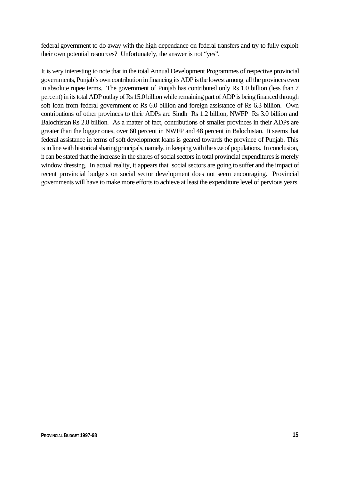federal government to do away with the high dependance on federal transfers and try to fully exploit their own potential resources? Unfortunately, the answer is not "yes".

It is very interesting to note that in the total Annual Development Programmes of respective provincial governments, Punjab's own contribution in financing its ADP is the lowest among all the provinces even in absolute rupee terms. The government of Punjab has contributed only Rs 1.0 billion (less than 7 percent) in its total ADP outlay of Rs 15.0 billion while remaining part of ADP is being financed through soft loan from federal government of Rs 6.0 billion and foreign assistance of Rs 6.3 billion. Own contributions of other provinces to their ADPs are Sindh Rs 1.2 billion, NWFP Rs 3.0 billion and Balochistan Rs 2.8 billion. As a matter of fact, contributions of smaller provinces in their ADPs are greater than the bigger ones, over 60 percent in NWFP and 48 percent in Balochistan. It seems that federal assistance in terms of soft development loans is geared towards the province of Punjab. This is in line with historical sharing principals, namely, in keeping with the size of populations. In conclusion, it can be stated that the increase in the shares of social sectors in total provincial expenditures is merely window dressing. In actual reality, it appears that social sectors are going to suffer and the impact of recent provincial budgets on social sector development does not seem encouraging. Provincial governments will have to make more efforts to achieve at least the expenditure level of pervious years.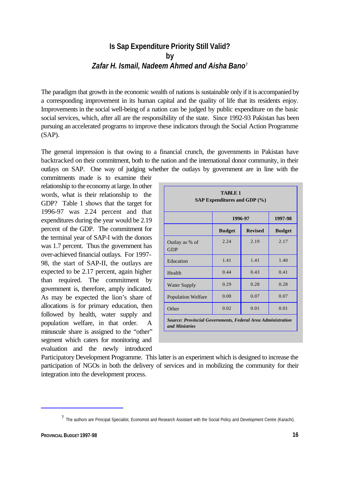## **Is Sap Expenditure Priority Still Valid? by** *Zafar H. Ismail, Nadeem Ahmed and Aisha Bano*?

The paradigm that growth in the economic wealth of nations is sustainable only if it is accompanied by a corresponding improvement in its human capital and the quality of life that its residents enjoy. Improvements in the social well-being of a nation can be judged by public expenditure on the basic social services, which, after all are the responsibility of the state. Since 1992-93 Pakistan has been pursuing an accelerated programs to improve these indicators through the Social Action Programme (SAP).

The general impression is that owing to a financial crunch, the governments in Pakistan have backtracked on their commitment, both to the nation and the international donor community, in their outlays on SAP. One way of judging whether the outlays by government are in line with the

commitments made is to examine their relationship to the economy at large. In other words, what is their relationship to the GDP? Table 1 shows that the target for 1996-97 was 2.24 percent and that expenditures during the year would be 2.19 percent of the GDP. The commitment for the terminal year of SAP-I with the donors was 1.7 percent. Thus the government has over-achieved financial outlays. For 1997- 98, the start of SAP-II, the outlays are expected to be 2.17 percent, again higher than required. The commitment by government is, therefore, amply indicated. As may be expected the lion's share of allocations is for primary education, then followed by health, water supply and population welfare, in that order. A minuscule share is assigned to the "other" segment which caters for monitoring and evaluation and the newly introduced

| TABLE 1<br>SAP Expenditures and GDP $(\%)$                                           |               |                |               |  |  |
|--------------------------------------------------------------------------------------|---------------|----------------|---------------|--|--|
|                                                                                      | 1996-97       | 1997-98        |               |  |  |
|                                                                                      | <b>Budget</b> | <b>Revised</b> | <b>Budget</b> |  |  |
| Outlay as % of<br><b>GDP</b>                                                         | 2.24          | 2.19           | 2.17          |  |  |
| Education                                                                            | 1.41          | 1.41           | 1.40          |  |  |
| Health                                                                               | 0.44          | 0.43           | 0.41          |  |  |
| <b>Water Supply</b>                                                                  | 0.29          | 0.28           | 0.28          |  |  |
| <b>Population Welfare</b>                                                            | 0.08          | 0.07           | 0.07          |  |  |
| Other                                                                                | 0.02          | 0.01           | 0.01          |  |  |
| <b>Source: Provincial Governments, Federal Area Administration</b><br>and Ministries |               |                |               |  |  |

Participatory Development Programme. This latter is an experiment which is designed to increase the participation of NGOs in both the delivery of services and in mobilizing the community for their integration into the development process.

<sup>?</sup> The authors are Principal Specialist, Economist and Research Assistant with the Social Policy and Development Centre (Karachi).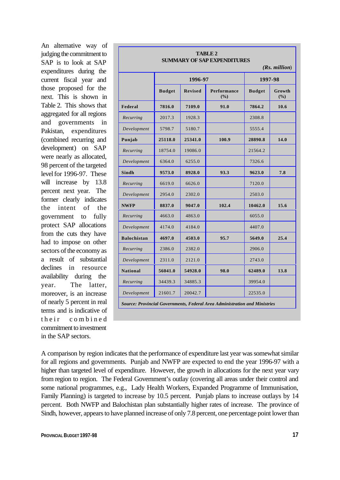An alternative way of judging the commitment to SAP is to look at SAP expenditures during the current fiscal year and those proposed for the next. This is shown in Table 2. This shows that aggregated for all regions and governments in Pakistan, expenditures (combined recurring and development) on SAP were nearly as allocated, 98 percent of the targeted level for 1996-97. These will increase by 13.8 percent next year. The former clearly indicates the intent of the government to fully protect SAP allocations from the cuts they have had to impose on other sectors of the economy as a result of substantial declines in resource availability during the year. The latter, moreover, is an increase of nearly 5 percent in real terms and is indicative of their combined commitment to investment in the SAP sectors.

| <b>TABLE 2</b><br><b>SUMMARY OF SAP EXPENDITURES</b><br>$(Rs.$ million)    |               |                |                    |               |                 |  |  |
|----------------------------------------------------------------------------|---------------|----------------|--------------------|---------------|-----------------|--|--|
|                                                                            |               | 1996-97        |                    |               | 1997-98         |  |  |
|                                                                            | <b>Budget</b> | <b>Revised</b> | Performance<br>(%) | <b>Budget</b> | Growth<br>(9/0) |  |  |
| Federal                                                                    | 7816.0        | 7109.0         | 91.0               | 7864.2        | 10.6            |  |  |
| Recurring                                                                  | 2017.3        | 1928.3         |                    | 2308.8        |                 |  |  |
| Development                                                                | 5798.7        | 5180.7         |                    | 5555.4        |                 |  |  |
| Punjab                                                                     | 25118.0       | 25341.0        | 100.9              | 28890.8       | 14.0            |  |  |
| Recurring                                                                  | 18754.0       | 19086.0        |                    | 21564.2       |                 |  |  |
| Development                                                                | 6364.0        | 6255.0         |                    | 7326.6        |                 |  |  |
| <b>Sindh</b>                                                               | 9573.0        | 8928.0         | 93.3               | 9623.0        | 7.8             |  |  |
| Recurring                                                                  | 6619.0        | 6626.0         |                    | 7120.0        |                 |  |  |
| Development                                                                | 2954.0        | 2302.0         |                    | 2503.0        |                 |  |  |
| <b>NWFP</b>                                                                | 8837.0        | 9047.0         | 102.4              | 10462.0       | 15.6            |  |  |
| Recurring                                                                  | 4663.0        | 4863.0         |                    | 6055.0        |                 |  |  |
| Development                                                                | 4174.0        | 4184.0         |                    | 4407.0        |                 |  |  |
| <b>Balochistan</b>                                                         | 4697.0        | 4503.0         | 95.7               | 5649.0        | 25.4            |  |  |
| Recurring                                                                  | 2386.0        | 2382.0         |                    | 2906.0        |                 |  |  |
| Development                                                                | 2311.0        | 2121.0         |                    | 2743.0        |                 |  |  |
| <b>National</b>                                                            | 56041.0       | 54928.0        | 98.0               | 62489.0       | 13.8            |  |  |
| Recurring                                                                  | 34439.3       | 34885.3        |                    | 39954.0       |                 |  |  |
| Development                                                                | 21601.7       | 20042.7        |                    | 22535.0       |                 |  |  |
| Source: Provincial Governments, Federal Area Administration and Ministries |               |                |                    |               |                 |  |  |

A comparison by region indicates that the performance of expenditure last year was somewhat similar for all regions and governments. Punjab and NWFP are expected to end the year 1996-97 with a higher than targeted level of expenditure. However, the growth in allocations for the next year vary from region to region. The Federal Government's outlay (covering all areas under their control and some national programmes, e.g., Lady Health Workers, Expanded Programme of Immunisation, Family Planning) is targeted to increase by 10.5 percent. Punjab plans to increase outlays by 14 percent. Both NWFP and Balochistan plan substantially higher rates of increase. The province of Sindh, however, appears to have planned increase of only 7.8 percent, one percentage point lower than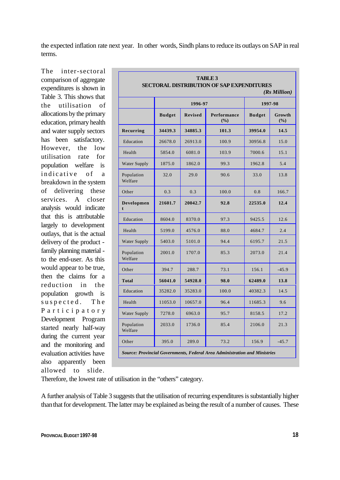the expected inflation rate next year. In other words, Sindh plans to reduce its outlays on SAP in real terms.

The inter-sectoral comparison of aggregate expenditures is shown in Table 3. This shows that the utilisation of allocations by the primary education, primary health and water supply sectors has been satisfactory. However, the low utilisation rate for population welfare is indicative of a breakdown in the system of delivering these services. A closer analysis would indicate that this is attributable largely to development outlays, that is the actual delivery of the product family planning material to the end-user. As this would appear to be true, then the claims for a reduction in the population growth is suspected. The Participatory Development Program started nearly half-way during the current year and the monitoring and evaluation activities have also apparently been allowed to slide.

| <b>TABLE 3</b><br><b>SECTORAL DISTRIBUTION OF SAP EXPENDITURES</b><br>$(Rs$ Million |               |                |                    |               |               |  |  |
|-------------------------------------------------------------------------------------|---------------|----------------|--------------------|---------------|---------------|--|--|
|                                                                                     |               | 1996-97        |                    |               | 1997-98       |  |  |
|                                                                                     | <b>Budget</b> | <b>Revised</b> | Performance<br>(%) | <b>Budget</b> | Growth<br>(%) |  |  |
| Recurring                                                                           | 34439.3       | 34885.3        | 101.3              | 39954.0       | 14.5          |  |  |
| Education                                                                           | 26678.0       | 26913.0        | 100.9              | 30956.8       | 15.0          |  |  |
| Health                                                                              | 5854.0        | 6081.0         | 103.9              | 7000.6        | 15.1          |  |  |
| <b>Water Supply</b>                                                                 | 1875.0        | 1862.0         | 99.3               | 1962.8        | 5.4           |  |  |
| Population<br>Welfare                                                               | 32.0          | 29.0           | 90.6               | 33.0          | 13.8          |  |  |
| Other                                                                               | 0.3           | 0.3            | 100.0              | 0.8           | 166.7         |  |  |
| Developmen                                                                          | 21601.7       | 20042.7        | 92.8               | 22535.0       | 12.4          |  |  |
| Education                                                                           | 8604.0        | 8370.0         | 97.3               | 9425.5        | 12.6          |  |  |
| Health                                                                              | 5199.0        | 4576.0         | 88.0               | 4684.7        | 2.4           |  |  |
| <b>Water Supply</b>                                                                 | 5403.0        | 5101.0         | 94.4               | 6195.7        | 21.5          |  |  |
| Population<br>Welfare                                                               | 2001.0        | 1707.0         | 85.3               | 2073.0        | 21.4          |  |  |
| Other                                                                               | 394.7         | 288.7          | 73.1               | 156.1         | $-45.9$       |  |  |
| <b>Total</b>                                                                        | 56041.0       | 54928.0        | 98.0               | 62489.0       | 13.8          |  |  |
| Education                                                                           | 35282.0       | 35283.0        | 100.0              | 40382.3       | 14.5          |  |  |
| Health                                                                              | 11053.0       | 10657.0        | 96.4               | 11685.3       | 9.6           |  |  |
| <b>Water Supply</b>                                                                 | 7278.0        | 6963.0         | 95.7               | 8158.5        | 17.2          |  |  |
| Population<br>Welfare                                                               | 2033.0        | 1736.0         | 85.4               | 2106.0        | 21.3          |  |  |
| Other                                                                               | 395.0         | 289.0          | 73.2               | 156.9         | $-45.7$       |  |  |
| Source: Provincial Governments, Federal Area Administration and Ministries          |               |                |                    |               |               |  |  |

Therefore, the lowest rate of utilisation in the "others" category.

A further analysis of Table 3 suggests that the utilisation of recurring expenditures is substantially higher than that for development. The latter may be explained as being the result of a number of causes. These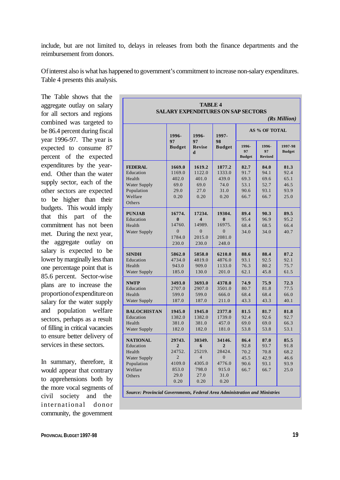include, but are not limited to, delays in releases from both the finance departments and the reimbursement from donors.

Of interest also is what has happened to government's commitment to increase non-salary expenditures. Table 4 presents this analysis.

The Table shows that the aggregate outlay on salary for all sectors and regions combined was targeted to be 86.4 percent during fiscal year 1996-97. The year is expected to consume 87 percent of the expected expenditures by the yearend. Other than the water supply sector, each of the other sectors are expected to be higher than their budgets. This would imply that this part of the commitment has not been met. During the next year, the aggregate outlay on salary is expected to be lower by marginally less than one percentage point that is 85.6 percent. Sector-wise plans are to increase the proportion of expenditure on salary for the water supply and population welfare sectors, perhaps as a result of filling in critical vacancies to ensure better delivery of services in these sectors.

In summary, therefore, it would appear that contrary to apprehensions both by the more vocal segments of civil society and the international donor community, the government

| <b>TABLE 4</b><br><b>SALARY EXPENDITURES ON SAP SECTORS</b><br>(Rs Million)                      |                                                                                         |                                                                                  |                                                                                         |                                              |                                              |                                              |
|--------------------------------------------------------------------------------------------------|-----------------------------------------------------------------------------------------|----------------------------------------------------------------------------------|-----------------------------------------------------------------------------------------|----------------------------------------------|----------------------------------------------|----------------------------------------------|
|                                                                                                  | 1996-                                                                                   | 1996-                                                                            | 1997-<br>98<br><b>Budget</b>                                                            | <b>AS % OF TOTAL</b>                         |                                              |                                              |
|                                                                                                  | 97<br><b>Budget</b>                                                                     | 97<br><b>Revise</b><br>d                                                         |                                                                                         | 1996-<br>97<br><b>Budget</b>                 | 1996-<br>97<br><b>Revised</b>                | 1997-98<br><b>Budget</b>                     |
| <b>FEDERAL</b><br>Education<br>Health<br>Water Supply<br>Population<br>Welfare<br>Others         | 1669.0<br>1169.0<br>402.0<br>69.0<br>29.0<br>0.20                                       | 1619.2<br>1122.0<br>401.0<br>69.0<br>27.0<br>0.20                                | 1877.2<br>1333.0<br>439.0<br>74.0<br>31.0<br>0.20                                       | 82.7<br>91.7<br>69.3<br>53.1<br>90.6<br>66.7 | 84.0<br>94.1<br>69.6<br>52.7<br>93.1<br>66.7 | 81.3<br>92.4<br>65.1<br>46.5<br>93.9<br>25.0 |
| <b>PUNJAB</b><br>Education<br>Health<br><b>Water Supply</b>                                      | 16774.<br>0<br>14760.<br>$\overline{0}$<br>1784.0<br>230.0                              | 17234.<br>$\overline{\mathbf{4}}$<br>14989.<br>$\overline{0}$<br>2015.0<br>230.0 | 19304.<br>0<br>16975.<br>$\overline{0}$<br>2081.0<br>248.0                              | 89.4<br>95.4<br>68.4<br>34.0                 | 90.3<br>96.9<br>68.5<br>34.0                 | 89.5<br>95.2<br>66.4<br>40.7                 |
| <b>SINDH</b><br>Education<br>Health<br><b>Water Supply</b>                                       | 5862.0<br>4734.0<br>943.0<br>185.0                                                      | 5858.0<br>4819.0<br>909.0<br>130.0                                               | 6210.0<br>4876.0<br>1133.0<br>201.0                                                     | 88.6<br>93.1<br>76.3<br>62.1                 | 88.4<br>92.5<br>80.2<br>45.8                 | 87.2<br>92.1<br>75.7<br>61.5                 |
| <b>NWFP</b><br>Education<br>Health<br>Water Supply                                               | 3493.0<br>2707.0<br>599.0<br>187.0                                                      | 3693.0<br>2907.0<br>599.0<br>187.0                                               | 4378.0<br>3501.0<br>666.0<br>211.0                                                      | 74.9<br>80.7<br>68.4<br>43.3                 | 75.9<br>81.8<br>68.4<br>43.3                 | 72.3<br>77.5<br>66.0<br>40.1                 |
| <b>BALOCHISTAN</b><br>Education<br>Health<br><b>Water Supply</b>                                 | 1945.0<br>1382.0<br>381.0<br>182.0                                                      | 1945.0<br>1382.0<br>381.0<br>182.0                                               | 2377.0<br>1739.0<br>457.0<br>181.0                                                      | 81.5<br>92.4<br>69.0<br>53.8                 | 81.7<br>92.6<br>69.0<br>53.8                 | 81.8<br>92.7<br>66.3<br>53.1                 |
| <b>NATIONAL</b><br>Education<br>Health<br><b>Water Supply</b><br>Population<br>Welfare<br>Others | 29743.<br>$\overline{2}$<br>24752.<br>$\overline{2}$<br>4109.0<br>853.0<br>29.0<br>0.20 | 30349.<br>6<br>25219.<br>$\overline{4}$<br>4305.0<br>798.0<br>27.0<br>0.20       | 34146.<br>$\overline{2}$<br>28424.<br>$\overline{0}$<br>4776.0<br>915.0<br>31.0<br>0.20 | 86.4<br>92.8<br>70.2<br>45.5<br>90.6<br>66.7 | 87.0<br>93.7<br>70.8<br>42.9<br>93.1<br>66.7 | 85.5<br>91.8<br>68.2<br>46.6<br>93.9<br>25.0 |
| Source: Provincial Governments, Federal Area Administration and Ministries                       |                                                                                         |                                                                                  |                                                                                         |                                              |                                              |                                              |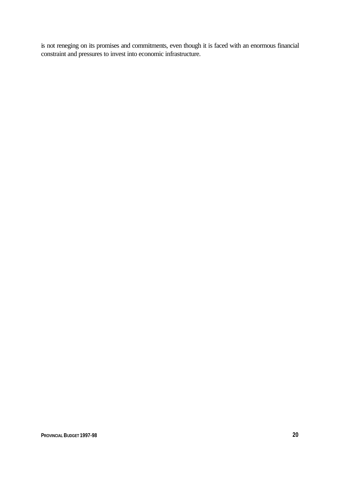is not reneging on its promises and commitments, even though it is faced with an enormous financial constraint and pressures to invest into economic infrastructure.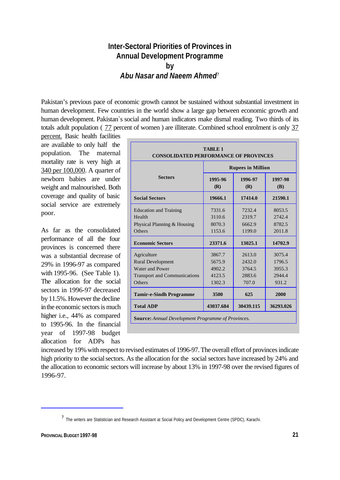## **Inter-Sectoral Priorities of Provinces in Annual Development Programme by** *Abu Nasar and Naeem Ahmed*?

Pakistan's previous pace of economic growth cannot be sustained without substantial investment in human development. Few countries in the world show a large gap between economic growth and human development. Pakistan`s social and human indicators make dismal reading. Two thirds of its totals adult population (77 percent of women) are illiterate. Combined school enrolment is only 37

percent. Basic health facilities are available to only half the population. The maternal mortality rate is very high at 340 per 100,000. A quarter of newborn babies are under weight and malnourished. Both coverage and quality of basic social service are extremely poor.

As far as the consolidated performance of all the four provinces is concerned there was a substantial decrease of 29% in 1996-97 as compared with 1995-96. (See Table 1). The allocation for the social sectors in 1996-97 decreased by 11.5%. However the decline in the economic sectors is much higher i.e., 44% as compared to 1995-96. In the financial year of 1997-98 budget allocation for ADPs has

| <b>TABLE 1</b><br><b>CONSOLIDATED PERFORMANCE OF PROVINCES</b>                                              |                                                |                                               |                                               |  |
|-------------------------------------------------------------------------------------------------------------|------------------------------------------------|-----------------------------------------------|-----------------------------------------------|--|
|                                                                                                             | <b>Rupees in Million</b>                       |                                               |                                               |  |
| <b>Sectors</b>                                                                                              | 1995-96<br>(R)                                 | 1996-97<br>(R)                                | 1997-98<br><b>(B)</b>                         |  |
| <b>Social Sectors</b>                                                                                       | 19666.1                                        | 17414.0                                       | 21590.1                                       |  |
| <b>Education and Training</b><br>Health<br>Physical Planning & Housing<br>Others                            | 7331.6<br>3110.6<br>8070.3<br>1153.6           | 7232.4<br>2319.7<br>6662.9<br>1199.0          | 8053.5<br>2.742.4<br>8782.5<br>2011.8         |  |
| <b>Economic Sectors</b>                                                                                     | 23371.6                                        | 13025.1                                       | 14702.9                                       |  |
| Agriculture<br><b>Rural Development</b><br>Water and Power<br><b>Transport and Communications</b><br>Others | 3867.7<br>5675.9<br>4902.2<br>4123.5<br>1302.3 | 2613.0<br>2432.0<br>3764.5<br>2883.6<br>707.0 | 3075.4<br>1796.5<br>3955.3<br>2944.4<br>931.2 |  |
| <b>Tamir-e-Sindh Programme</b>                                                                              | 3500                                           | 625                                           | 2000                                          |  |
| <b>Total ADP</b>                                                                                            | 43037.684                                      | 30439.115                                     | 36293.026                                     |  |
| <b>Source:</b> Annual Development Programme of Provinces.                                                   |                                                |                                               |                                               |  |

increased by 19% with respect to revised estimates of 1996-97. The overall effort of provinces indicate high priority to the social sectors. As the allocation for the social sectors have increased by 24% and the allocation to economic sectors will increase by about 13% in 1997-98 over the revised figures of 1996-97.

<sup>?</sup> The writers are Statistician and Research Assistant at Social Policy and Development Centre (SPDC), Karachi.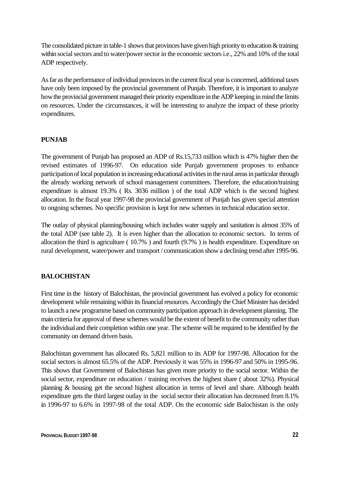The consolidated picture in table-1 shows that provinces have given high priority to education & training within social sectors and to water/power sector in the economic sectors i.e., 22% and 10% of the total ADP respectively.

As far as the performance of individual provinces in the current fiscal year is concerned, additional taxes have only been imposed by the provincial government of Punjab. Therefore, it is important to analyze how the provincial government managed their priority expenditure in the ADP keeping in mind the limits on resources. Under the circumstances, it will be interesting to analyze the impact of these priority expenditures.

### **PUNJAB**

The government of Punjab has proposed an ADP of Rs.15,733 million which is 47% higher then the revised estimates of 1996-97. On education side Punjab government proposes to enhance participation of local population in increasing educational activities in the rural areas in particular through the already working network of school management committees. Therefore, the education/training expenditure is almost 19.3% ( Rs. 3036 million ) of the total ADP which is the second highest allocation. In the fiscal year 1997-98 the provincial government of Punjab has given special attention to ongoing schemes. No specific provision is kept for new schemes in technical education sector.

The outlay of physical planning/housing which includes water supply and sanitation is almost 35% of the total ADP (see table 2). It is even higher than the allocation to economic sectors. In terms of allocation the third is agriculture ( 10.7% ) and fourth (9.7% ) is health expenditure. Expenditure on rural development, water/power and transport / communication show a declining trend after 1995-96.

### **BALOCHISTAN**

First time in the history of Balochistan, the provincial government has evolved a policy for economic development while remaining within its financial resources. Accordingly the Chief Minister has decided to launch a new programme based on community participation approach in development planning. The main criteria for approval of these schemes would be the extent of benefit to the community rather than the individual and their completion within one year. The scheme will be required to be identified by the community on demand driven basis.

Balochistan government has allocated Rs. 5,821 million to its ADP for 1997-98. Allocation for the social sectors is almost 65.5% of the ADP. Previously it was 55% in 1996-97 and 50% in 1995-96. This shows that Government of Balochistan has given more priority to the social sector. Within the social sector, expenditure on education / training receives the highest share ( about 32%). Physical planning & housing get the second highest allocation in terms of level and share. Although health expenditure gets the third largest outlay in the social sector their allocation has decreased from 8.1% in 1996-97 to 6.6% in 1997-98 of the total ADP. On the economic side Balochistan is the only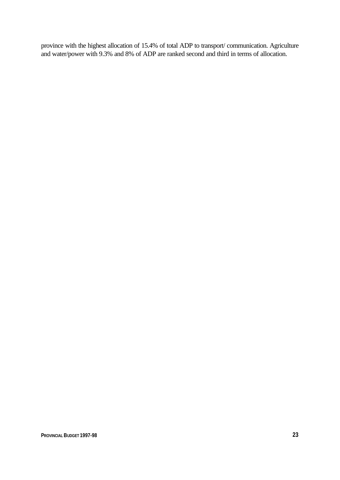province with the highest allocation of 15.4% of total ADP to transport/ communication. Agriculture and water/power with 9.3% and 8% of ADP are ranked second and third in terms of allocation.